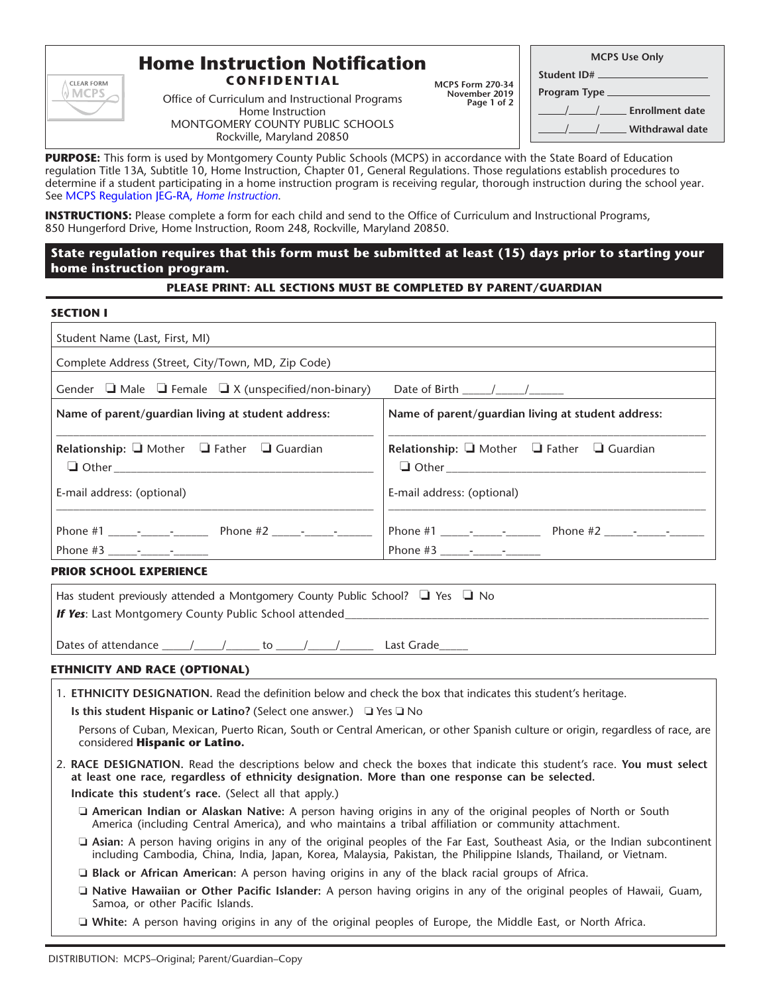

# **Home Instruction Notification**

**CONFIDENTIAL**

Office of Curriculum and Instructional Programs Home Instruction MONTGOMERY COUNTY PUBLIC SCHOOLS Rockville, Maryland 20850

**MCPS Form 270-34 November 2019 Page 1 of 2**

| <b>MCPS Use Only</b>                 |  |  |
|--------------------------------------|--|--|
|                                      |  |  |
|                                      |  |  |
| <u>____/___/____</u> Enrollment date |  |  |
|                                      |  |  |
|                                      |  |  |

**PURPOSE:** This form is used by Montgomery County Public Schools (MCPS) in accordance with the State Board of Education regulation Title 13A, Subtitle 10, Home Instruction, Chapter 01, General Regulations. Those regulations establish procedures to determine if a student participating in a home instruction program is receiving regular, thorough instruction during the school year. See [MCPS Regulation JEG-RA,](http://www.montgomeryschoolsmd.org/departments/policy/detail.aspx?recID=274&policyID=JEG-RA§ionID=10) *Home Instruction*.

**INSTRUCTIONS:** Please complete a form for each child and send to the Office of Curriculum and Instructional Programs, 850 Hungerford Drive, Home Instruction, Room 248, Rockville, Maryland 20850.

# **State regulation requires that this form must be submitted at least (15) days prior to starting your home instruction program.**

# **PLEASE PRINT: ALL SECTIONS MUST BE COMPLETED BY PARENT/GUARDIAN**

## **SECTION I**

| Student Name (Last, First, MI)                                     |                                                                  |  |  |  |
|--------------------------------------------------------------------|------------------------------------------------------------------|--|--|--|
| Complete Address (Street, City/Town, MD, Zip Code)                 |                                                                  |  |  |  |
| Gender $\Box$ Male $\Box$ Female $\Box$ X (unspecified/non-binary) | Date of Birth $\frac{\sqrt{2}}{2}$                               |  |  |  |
| Name of parent/quardian living at student address:                 | Name of parent/guardian living at student address:               |  |  |  |
| Relationship: $\Box$ Mother $\Box$ Father $\Box$ Guardian          | <b>Relationship:</b> $\Box$ Mother $\Box$ Father $\Box$ Guardian |  |  |  |
| E-mail address: (optional)                                         | E-mail address: (optional)                                       |  |  |  |
|                                                                    |                                                                  |  |  |  |

# **PRIOR SCHOOL EXPERIENCE**

| Has student previously attended a Montgomery County Public School? $\Box$ Yes $\Box$ No |            |  |  |  |
|-----------------------------------------------------------------------------------------|------------|--|--|--|
| <b>If Yes:</b> Last Montgomery County Public School attended                            |            |  |  |  |
|                                                                                         |            |  |  |  |
| Dates of attendance $\sqrt{2}$<br>to                                                    | Last Grade |  |  |  |

## **ETHNICITY AND RACE (OPTIONAL)**

1. **ETHNICITY DESIGNATION.** Read the definition below and check the box that indicates this student's heritage.

**Is this student Hispanic or Latino?** (Select one answer.)  $\Box$  Yes  $\Box$  No

Persons of Cuban, Mexican, Puerto Rican, South or Central American, or other Spanish culture or origin, regardless of race, are considered **Hispanic or Latino.**

- 2. **RACE DESIGNATION.** Read the descriptions below and check the boxes that indicate this student's race. **You must select at least one race, regardless of ethnicity designation. More than one response can be selected. Indicate this student's race.** (Select all that apply.)
	- o **American Indian or Alaskan Native:** A person having origins in any of the original peoples of North or South America (including Central America), and who maintains a tribal affiliation or community attachment.
	- o **Asian:** A person having origins in any of the original peoples of the Far East, Southeast Asia, or the Indian subcontinent including Cambodia, China, India, Japan, Korea, Malaysia, Pakistan, the Philippine Islands, Thailand, or Vietnam.

**D** Black or African American: A person having origins in any of the black racial groups of Africa.

- o **Native Hawaiian or Other Pacific Islander:** A person having origins in any of the original peoples of Hawaii, Guam, Samoa, or other Pacific Islands.
- □ White: A person having origins in any of the original peoples of Europe, the Middle East, or North Africa.